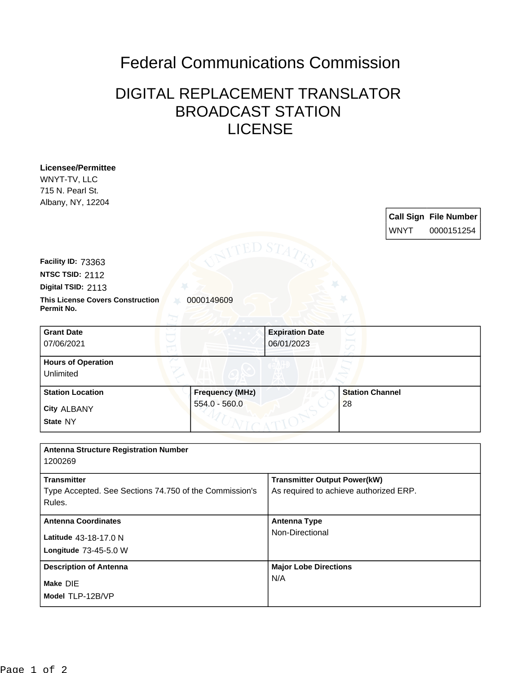## Federal Communications Commission

## DIGITAL REPLACEMENT TRANSLATOR BROADCAST STATION LICENSE

| <b>Licensee/Permittee</b><br>WNYT-TV, LLC              |                        |                                        |                        |             |                              |
|--------------------------------------------------------|------------------------|----------------------------------------|------------------------|-------------|------------------------------|
| 715 N. Pearl St.<br>Albany, NY, 12204                  |                        |                                        |                        |             |                              |
|                                                        |                        |                                        |                        |             | <b>Call Sign File Number</b> |
|                                                        |                        |                                        |                        | <b>WNYT</b> | 0000151254                   |
|                                                        |                        |                                        |                        |             |                              |
|                                                        |                        |                                        |                        |             |                              |
| Facility ID: 73363                                     |                        |                                        |                        |             |                              |
| NTSC TSID: 2112                                        |                        |                                        |                        |             |                              |
| Digital TSID: 2113                                     |                        |                                        |                        |             |                              |
| <b>This License Covers Construction</b><br>Permit No.  | 0000149609             |                                        |                        |             |                              |
|                                                        |                        |                                        |                        |             |                              |
| <b>Grant Date</b>                                      |                        | <b>Expiration Date</b>                 |                        |             |                              |
| 07/06/2021                                             |                        | 06/01/2023                             |                        |             |                              |
| <b>Hours of Operation</b>                              |                        |                                        |                        |             |                              |
| Unlimited                                              |                        |                                        |                        |             |                              |
| <b>Station Location</b>                                | <b>Frequency (MHz)</b> |                                        | <b>Station Channel</b> |             |                              |
| City ALBANY                                            | 554.0 - 560.0          |                                        | 28                     |             |                              |
| State NY                                               |                        |                                        |                        |             |                              |
|                                                        |                        |                                        |                        |             |                              |
| <b>Antenna Structure Registration Number</b>           |                        |                                        |                        |             |                              |
| 1200269                                                |                        |                                        |                        |             |                              |
| <b>Transmitter</b>                                     |                        | <b>Transmitter Output Power(kW)</b>    |                        |             |                              |
| Type Accepted. See Sections 74.750 of the Commission's |                        | As required to achieve authorized ERP. |                        |             |                              |
| Rules.                                                 |                        |                                        |                        |             |                              |
| <b>Antenna Coordinates</b>                             |                        | <b>Antenna Type</b>                    |                        |             |                              |
| Latitude 43-18-17.0 N                                  |                        | Non-Directional                        |                        |             |                              |
| Longitude 73-45-5.0 W                                  |                        |                                        |                        |             |                              |
|                                                        |                        |                                        |                        |             |                              |
| <b>Description of Antenna</b>                          |                        | <b>Major Lobe Directions</b><br>N/A    |                        |             |                              |
| Make DIE                                               |                        |                                        |                        |             |                              |
| Model TLP-12B/VP                                       |                        |                                        |                        |             |                              |
|                                                        |                        |                                        |                        |             |                              |